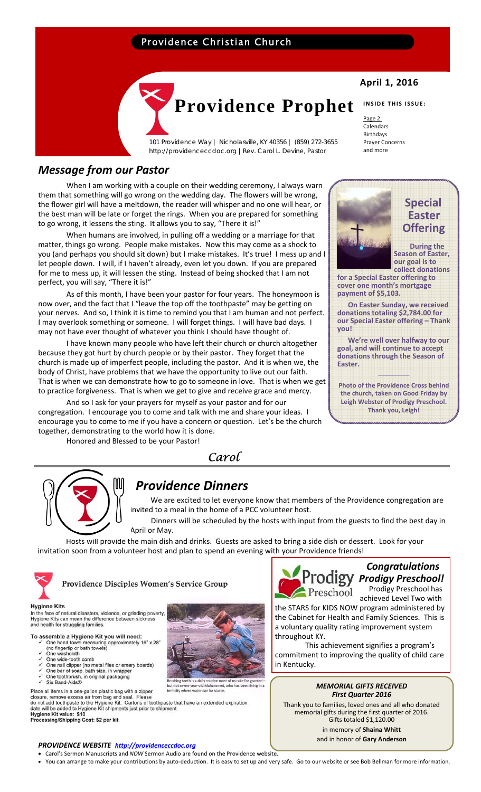# Providence Christian Church



101 Providence Way | Nicholasville, KY 40356 | (859) 272-3655 http://providenceccdoc.org |Rev. Carol L. Devine, Pastor

## *Message from our Pastor*

When I am working with a couple on their wedding ceremony, I always warn them that something will go wrong on the wedding day. The flowers will be wrong, the flower girl will have a meltdown, the reader will whisper and no one will hear, or the best man will be late or forget the rings. When you are prepared for something to go wrong, it lessens the sting. It allows you to say, "There it is!"

When humans are involved, in pulling off a wedding or a marriage for that matter, things go wrong. People make mistakes. Now this may come as a shock to you (and perhaps you should sit down) but I make mistakes. It's true! I mess up and I let people down. I will, if I haven't already, even let you down. If you are prepared for me to mess up, it will lessen the sting. Instead of being shocked that I am not perfect, you will say, "There it is!"

As of this month, I have been your pastor for four years. The honeymoon is now over, and the fact that I "leave the top off the toothpaste" may be getting on your nerves. And so, I think it is time to remind you that I am human and not perfect. I may overlook something or someone. I will forget things. I will have bad days. I may not have ever thought of whatever you think I should have thought of.

I have known many people who have left their church or church altogether because they got hurt by church people or by their pastor. They forget that the church is made up of imperfect people, including the pastor. And it is when we, the body of Christ, have problems that we have the opportunity to live out our faith. That is when we can demonstrate how to go to someone in love. That is when we get to practice forgiveness. That is when we get to give and receive grace and mercy.

And so I ask for your prayers for myself as your pastor and for our congregation. I encourage you to come and talk with me and share your ideas. I encourage you to come to me if you have a concern or question. Let's be the church together, demonstrating to the world how it is done.

Honored and Blessed to be your Pastor!

### *Carol*



# *Providence Dinners*

 We are excited to let everyone know that members of the Providence congregation are invited to a meal in the home of a PCC volunteer host.

 Dinners will be scheduled by the hosts with input from the guests to find the best day in April or May.

Hosts will provide the main dish and drinks. Guests are asked to bring a side dish or dessert. Look for your invitation soon from a volunteer host and plan to spend an evening with your Providence friends!



Providence Disciples Women's Service Group



## *Congratulations Prodigy Preschool!*

Preschool Prodigy Preschool has achieved Level Two with

the STARS for KIDS NOW program administered by the Cabinet for Health and Family Sciences. This is a voluntary quality rating improvement system throughout KY.

This achievement signifies a program's commitment to improving the quality of child care in Kentucky.

#### *MEMORIAL GIFTS RECEIVED First Quarter 2016*

Thank you to families, loved ones and all who donated memorial gifts during the first quarter of 2016. Gifts totaled \$1,120.00 in memory of **Shaina Whitt** and in honor of **Gary Anderson**



One toothbrush, in original packaging

Six Band-Aids®

In the face of natural disasters, violence, or grinding poverty Hygiene Kits can mean the difference between sickness<br>and health for struggling families.

Serimber a Trygnetic Richard School Control and towel measuring approximately 16" x 28"<br>(no fingertip or bath towels)<br>One washolch<br>One wide-tooth comb<br>One bar of soap, bath size, in wrapper<br>One bar of soap, bath size, in w

To assemble a Hygiene Kit you will need:

Place all items in a one-gallon plastic bag with a zipper<br>closure, remove excess air from bag and seal. Please<br>do not add toothpaste to the Hygiene Kit. Cartons of toothpaste that have an extended expiration<br>date will be a Hygiene Kit value: \$10

Processing/Shipping Cost: \$2 per kit

### *PROVIDENCE WEBSITE http://providenceccdoc.org*

• Carol's Sermon Manuscripts and *NOW* Sermon Audio are found on the Providence website.

• You can arrange to make your contributions by auto‐deduction. It is easy to set up and very safe. Go to our website or see Bob Bellman for more information.

# **April 1, 2016**

#### **INSIDE THIS ISSUE:**

 **Special** 

 **Easter Offering**

 **During the Season of Easter, our goal is to collect donations**

Page 2: Calendars Birthdays Prayer Concerns and more

**for a Special Easter offering to cover one month's mortgage**

 **On Easter Sunday, we received donations totaling \$2,784.00 for our Special Easter offering – Thank**

 **We're well over halfway to our goal, and will continue to accept donations through the Season of**

**\_\_\_\_\_\_\_\_ Photo of the Providence Cross behind the church, taken on Good Friday by Leigh Webster of Prodigy Preschool. Thank you, Leigh!**

**payment of \$5,103.** 

**you!** 

**Easter.**